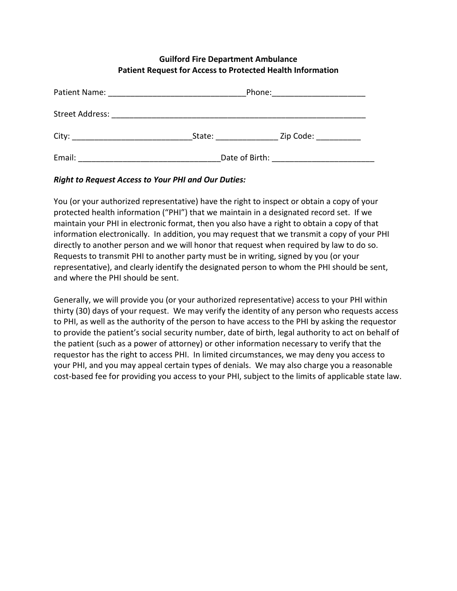## **Guilford Fire Department Ambulance Patient Request for Access to Protected Health Information**

| Patient Name:   | Phone:         |           |  |
|-----------------|----------------|-----------|--|
| Street Address: |                |           |  |
| City:           | State:         | Zip Code: |  |
| Email:          | Date of Birth: |           |  |

## *Right to Request Access to Your PHI and Our Duties:*

You (or your authorized representative) have the right to inspect or obtain a copy of your protected health information ("PHI") that we maintain in a designated record set. If we maintain your PHI in electronic format, then you also have a right to obtain a copy of that information electronically. In addition, you may request that we transmit a copy of your PHI directly to another person and we will honor that request when required by law to do so. Requests to transmit PHI to another party must be in writing, signed by you (or your representative), and clearly identify the designated person to whom the PHI should be sent, and where the PHI should be sent.

Generally, we will provide you (or your authorized representative) access to your PHI within thirty (30) days of your request. We may verify the identity of any person who requests access to PHI, as well as the authority of the person to have access to the PHI by asking the requestor to provide the patient's social security number, date of birth, legal authority to act on behalf of the patient (such as a power of attorney) or other information necessary to verify that the requestor has the right to access PHI. In limited circumstances, we may deny you access to your PHI, and you may appeal certain types of denials. We may also charge you a reasonable cost-based fee for providing you access to your PHI, subject to the limits of applicable state law.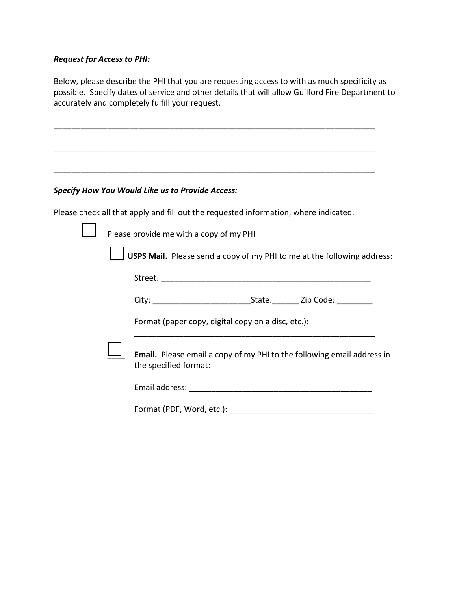## *Request for Access to PHI:*

Below, please describe the PHI that you are requesting access to with as much specificity as possible. Specify dates of service and other details that will allow Guilford Fire Department to accurately and completely fulfill your request.

\_\_\_\_\_\_\_\_\_\_\_\_\_\_\_\_\_\_\_\_\_\_\_\_\_\_\_\_\_\_\_\_\_\_\_\_\_\_\_\_\_\_\_\_\_\_\_\_\_\_\_\_\_\_\_\_\_\_\_\_\_\_\_\_\_\_\_\_\_\_\_\_

\_\_\_\_\_\_\_\_\_\_\_\_\_\_\_\_\_\_\_\_\_\_\_\_\_\_\_\_\_\_\_\_\_\_\_\_\_\_\_\_\_\_\_\_\_\_\_\_\_\_\_\_\_\_\_\_\_\_\_\_\_\_\_\_\_\_\_\_\_\_\_\_

\_\_\_\_\_\_\_\_\_\_\_\_\_\_\_\_\_\_\_\_\_\_\_\_\_\_\_\_\_\_\_\_\_\_\_\_\_\_\_\_\_\_\_\_\_\_\_\_\_\_\_\_\_\_\_\_\_\_\_\_\_\_\_\_\_\_\_\_\_\_\_\_

## *Specify How You Would Like us to Provide Access:*

Please check all that apply and fill out the requested information, where indicated.

|  | <b>LU</b> Please provide me with a copy of my PHI |  |  |
|--|---------------------------------------------------|--|--|
|  |                                                   |  |  |

\_\_\_\_ **USPS Mail.** Please send a copy of my PHI to me at the following address:

| $-0.5$ |  |
|--------|--|
|        |  |

| City: | State: | Zip Code: |
|-------|--------|-----------|
|       |        |           |

\_\_\_\_\_\_\_\_\_\_\_\_\_\_\_\_\_\_\_\_\_\_\_\_\_\_\_\_\_\_\_\_\_\_\_\_\_\_\_\_\_\_\_\_\_\_\_\_\_\_\_\_\_\_

Format (paper copy, digital copy on a disc, etc.):

\_\_\_\_ **Email.** Please email a copy of my PHI to the following email address in the specified format:

Format (PDF, Word, etc.):\_\_\_\_\_\_\_\_\_\_\_\_\_\_\_\_\_\_\_\_\_\_\_\_\_\_\_\_\_\_\_\_\_